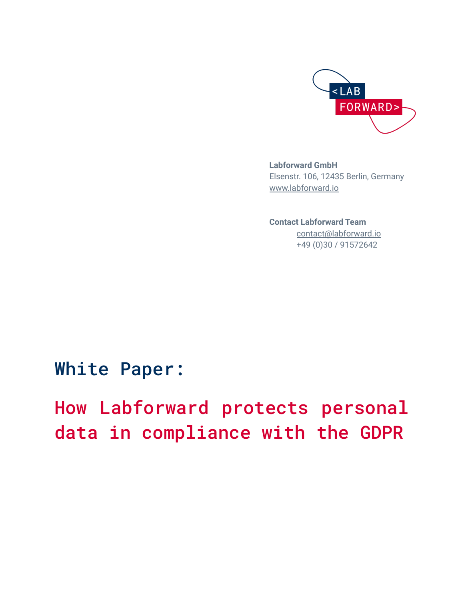

<span id="page-0-0"></span>**Labforward GmbH** Elsenstr. 106, 12435 Berlin, Germany [www.labforward.io](http://www.labforward.io)

**Contact Labforward Team** [contact@labforward.io](mailto:contact@labforward.io) +49 (0)30 / 91572642

White Paper:

How Labforward protects personal data in compliance with the GDPR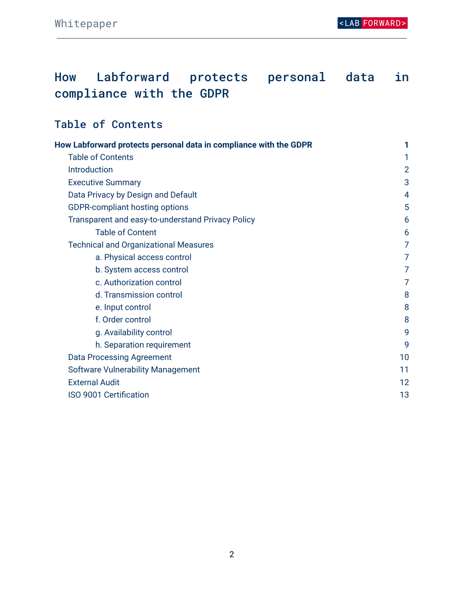# How Labforward protects personal data in compliance with the GDPR

# <span id="page-1-0"></span>Table of Contents

| How Labforward protects personal data in compliance with the GDPR |                |
|-------------------------------------------------------------------|----------------|
| <b>Table of Contents</b>                                          |                |
| Introduction                                                      | $\overline{2}$ |
| <b>Executive Summary</b>                                          | 3              |
| Data Privacy by Design and Default                                | 4              |
| <b>GDPR-compliant hosting options</b>                             | 5              |
| <b>Transparent and easy-to-understand Privacy Policy</b>          | 6              |
| <b>Table of Content</b>                                           | 6              |
| <b>Technical and Organizational Measures</b>                      | $\overline{7}$ |
| a. Physical access control                                        | 7              |
| b. System access control                                          | 7              |
| c. Authorization control                                          | 7              |
| d. Transmission control                                           | 8              |
| e. Input control                                                  | 8              |
| f. Order control                                                  | 8              |
| g. Availability control                                           | 9              |
| h. Separation requirement                                         | 9              |
| <b>Data Processing Agreement</b>                                  | 10             |
| <b>Software Vulnerability Management</b>                          | 11             |
| <b>External Audit</b>                                             | 12             |
| <b>ISO 9001 Certification</b>                                     | 13             |
|                                                                   |                |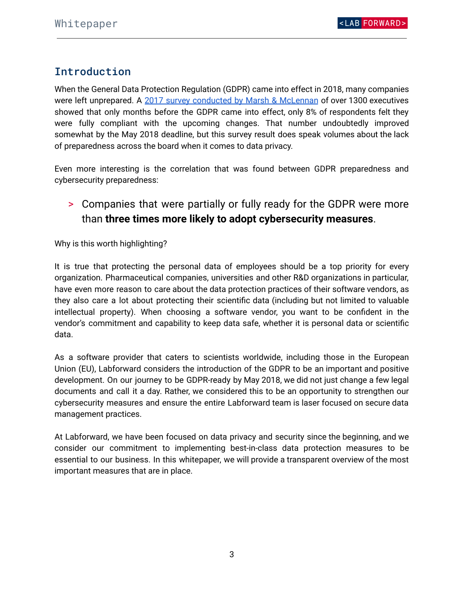### <span id="page-2-0"></span>Introduction

When the General Data Protection Regulation (GDPR) came into effect in 2018, many companies were left unprepared. A 2017 survey [conducted](https://www.marsh.com/content/dam/marsh/Documents/PDF/US-en/Cyber-Survey-Report-2017.pdf) by Marsh & McLennan of over 1300 executives showed that only months before the GDPR came into effect, only 8% of respondents felt they were fully compliant with the upcoming changes. That number undoubtedly improved somewhat by the May 2018 deadline, but this survey result does speak volumes about the lack of preparedness across the board when it comes to data privacy.

Even more interesting is the correlation that was found between GDPR preparedness and cybersecurity preparedness:

# > Companies that were partially or fully ready for the GDPR were more than **three times more likely to adopt cybersecurity measures**.

Why is this worth highlighting?

It is true that protecting the personal data of employees should be a top priority for every organization. Pharmaceutical companies, universities and other R&D organizations in particular, have even more reason to care about the data protection practices of their software vendors, as they also care a lot about protecting their scientific data (including but not limited to valuable intellectual property). When choosing a software vendor, you want to be confident in the vendor's commitment and capability to keep data safe, whether it is personal data or scientific data.

As a software provider that caters to scientists worldwide, including those in the European Union (EU), Labforward considers the introduction of the GDPR to be an important and positive development. On our journey to be GDPR-ready by May 2018, we did not just change a few legal documents and call it a day. Rather, we considered this to be an opportunity to strengthen our cybersecurity measures and ensure the entire Labforward team is laser focused on secure data management practices.

At Labforward, we have been focused on data privacy and security since the beginning, and we consider our commitment to implementing best-in-class data protection measures to be essential to our business. In this whitepaper, we will provide a transparent overview of the most important measures that are in place.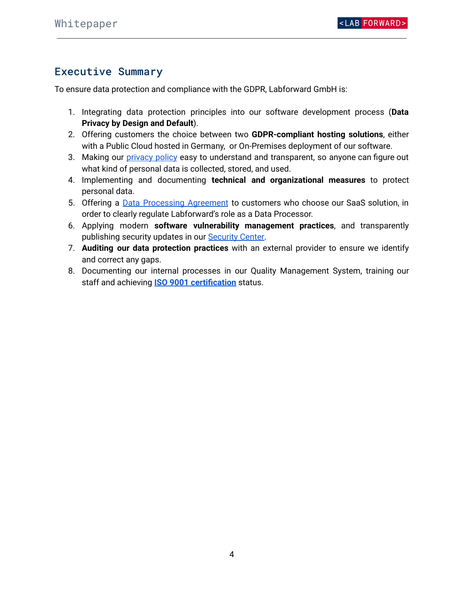### <span id="page-3-0"></span>Executive Summary

To ensure data protection and compliance with the GDPR, Labforward GmbH is:

- 1. Integrating data protection principles into our software development process (**Data Privacy by Design and Default**).
- 2. Offering customers the choice between two **GDPR-compliant hosting solutions**, either with a Public Cloud hosted in Germany, or On-Premises deployment of our software.
- 3. Making our [privacy](https://www.labforward.io/privacy) policy easy to understand and transparent, so anyone can figure out what kind of personal data is collected, stored, and used.
- 4. Implementing and documenting **technical and organizational measures** to protect personal data.
- 5. Offering a **Data [Processing](https://www.labforward.io/gdpr-dpa/) Agreement** to customers who choose our SaaS solution, in order to clearly regulate Labforward's role as a Data Processor.
- 6. Applying modern **software vulnerability management practices**, and transparently publishing security updates in our **[Security](https://www.labforward.io/security-center/) Center**.
- 7. **Auditing our data protection practices** with an external provider to ensure we identify and correct any gaps.
- 8. Documenting our internal processes in our Quality Management System, training our staff and achieving **ISO 9001 [certification](https://www.labforward.io/wp-content/uploads/2022/02/2021-11-29-Labforward-ISO-9001-certificate.pdf)** status.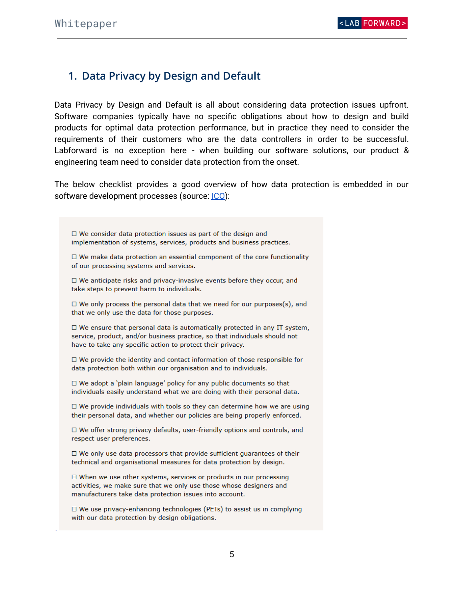### <span id="page-4-0"></span>**1. Data Privacy by Design and Default**

Data Privacy by Design and Default is all about considering data protection issues upfront. Software companies typically have no specific obligations about how to design and build products for optimal data protection performance, but in practice they need to consider the requirements of their customers who are the data controllers in order to be successful. Labforward is no exception here - when building our software solutions, our product & engineering team need to consider data protection from the onset.

The below checklist provides a good overview of how data protection is embedded in our software development processes (source: [ICO\)](https://ico.org.uk/for-organisations/guide-to-data-protection/guide-to-the-general-data-protection-regulation-gdpr/accountability-and-governance/data-protection-by-design-and-default/):

 $\Box$  We consider data protection issues as part of the design and implementation of systems, services, products and business practices.

 $\Box$  We make data protection an essential component of the core functionality of our processing systems and services.

 $\Box$  We anticipate risks and privacy-invasive events before they occur, and take steps to prevent harm to individuals.

 $\Box$  We only process the personal data that we need for our purposes(s), and that we only use the data for those purposes.

 $\Box$  We ensure that personal data is automatically protected in any IT system, service, product, and/or business practice, so that individuals should not have to take any specific action to protect their privacy.

 $\Box$  We provide the identity and contact information of those responsible for data protection both within our organisation and to individuals.

 $\Box$  We adopt a 'plain language' policy for any public documents so that individuals easily understand what we are doing with their personal data.

 $\Box$  We provide individuals with tools so they can determine how we are using their personal data, and whether our policies are being properly enforced.

 $\Box$  We offer strong privacy defaults, user-friendly options and controls, and respect user preferences.

 $\Box$  We only use data processors that provide sufficient guarantees of their technical and organisational measures for data protection by design.

 $\Box$  When we use other systems, services or products in our processing activities, we make sure that we only use those whose designers and manufacturers take data protection issues into account.

 $\Box$  We use privacy-enhancing technologies (PETs) to assist us in complying with our data protection by design obligations.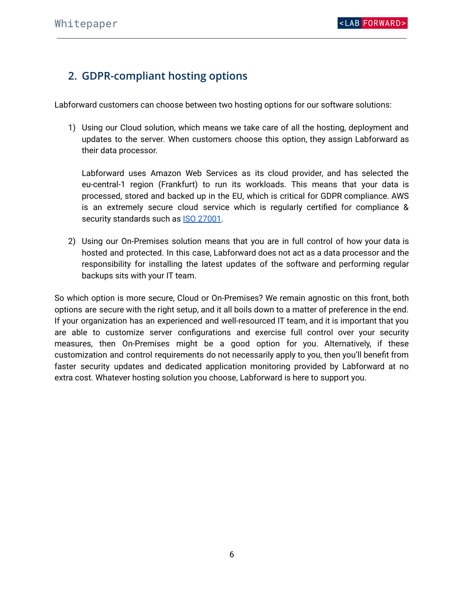# <span id="page-5-0"></span>**2. GDPR-compliant hosting options**

Labforward customers can choose between two hosting options for our software solutions:

1) Using our Cloud solution, which means we take care of all the hosting, deployment and updates to the server. When customers choose this option, they assign Labforward as their data processor.

Labforward uses Amazon Web Services as its cloud provider, and has selected the eu-central-1 region (Frankfurt) to run its workloads. This means that your data is processed, stored and backed up in the EU, which is critical for GDPR compliance. AWS is an extremely secure cloud service which is regularly certified for compliance & security standards such as **ISO [27001](https://d1.awsstatic.com/certifications/iso_27001_global_certification.pdf)**.

2) Using our On-Premises solution means that you are in full control of how your data is hosted and protected. In this case, Labforward does not act as a data processor and the responsibility for installing the latest updates of the software and performing regular backups sits with your IT team.

So which option is more secure, Cloud or On-Premises? We remain agnostic on this front, both options are secure with the right setup, and it all boils down to a matter of preference in the end. If your organization has an experienced and well-resourced IT team, and it is important that you are able to customize server configurations and exercise full control over your security measures, then On-Premises might be a good option for you. Alternatively, if these customization and control requirements do not necessarily apply to you, then you'll benefit from faster security updates and dedicated application monitoring provided by Labforward at no extra cost. Whatever hosting solution you choose, Labforward is here to support you.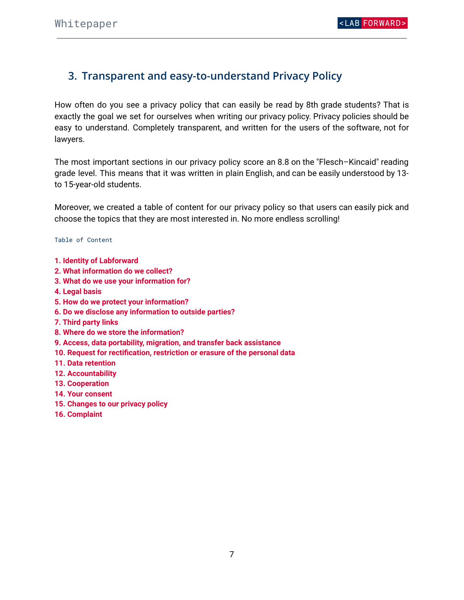### <span id="page-6-0"></span>**3. Transparent and easy-to-understand Privacy Policy**

How often do you see a privacy policy that can easily be read by 8th grade students? That is exactly the goal we set for ourselves when writing our privacy policy. Privacy policies should be easy to understand. Completely transparent, and written for the users of the software, not for lawyers.

The most important sections in our privacy policy score an 8.8 on the "Flesch–Kincaid" reading grade level. This means that it was written in plain English, and can be easily understood by 13 to 15-year-old students.

Moreover, we created a table of content for our privacy policy so that users can easily pick and choose the topics that they are most interested in. No more endless scrolling!

#### <span id="page-6-1"></span>Table of Content

- **1. Identity of [Labforward](https://www.labforward.io/privacy/#pr1)**
- **2. What [information](https://www.labforward.io/privacy/#pr2) do we collect?**
- **3. What do we use your [information](https://www.labforward.io/privacy/#pr3) for?**
- **4. [Legal](https://www.labforward.io/privacy/#pr4) basis**
- **5. How do we protect your [information?](https://www.labforward.io/privacy/#pr5)**
- **6. Do we disclose any [information](https://www.labforward.io/privacy/#pr6) to outside parties?**
- **7. [Third](https://www.labforward.io/privacy/#pr7) party links**
- **8. Where do we store the [information?](https://www.labforward.io/privacy/#pr8)**
- **9. Access, data portability, migration, and transfer back [assistance](https://www.labforward.io/privacy/#pr9)**
- **10. Request for [rectification,](https://www.labforward.io/privacy/#pr10) restriction or erasure of the personal data**
- **11. Data [retention](https://www.labforward.io/privacy/#pr11)**
- **12. [Accountability](https://www.labforward.io/privacy/#pr12)**
- **13. [Cooperation](https://www.labforward.io/privacy/#pr13)**
- **14. Your [consent](https://www.labforward.io/privacy/#pr14)**
- **15. [Changes](https://www.labforward.io/privacy/#pr15) to our privacy policy**
- **16. [Complaint](https://www.labforward.io/privacy/#pr16)**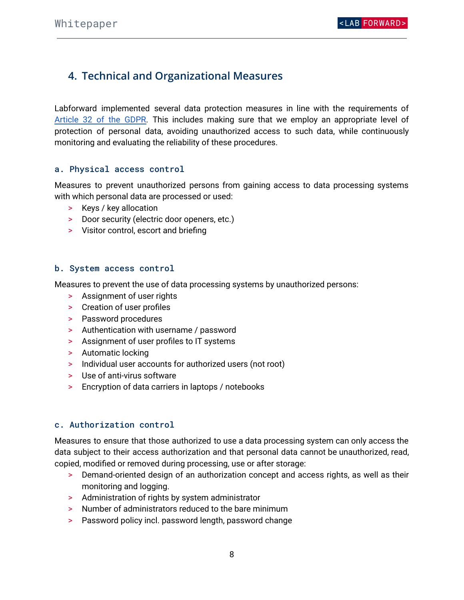# <span id="page-7-0"></span>**4. Technical and Organizational Measures**

Labforward implemented several data protection measures in line with the requirements of [Article](https://gdpr-info.eu/art-32-gdpr/) 32 of the GDPR. This includes making sure that we employ an appropriate level of protection of personal data, avoiding unauthorized access to such data, while continuously monitoring and evaluating the reliability of these procedures.

#### <span id="page-7-1"></span>a. Physical access control

Measures to prevent unauthorized persons from gaining access to data processing systems with which personal data are processed or used:

- > Keys / key allocation
- > Door security (electric door openers, etc.)
- > Visitor control, escort and briefing

### <span id="page-7-2"></span>b. System access control

Measures to prevent the use of data processing systems by unauthorized persons:

- > Assignment of user rights
- > Creation of user profiles
- > Password procedures
- > Authentication with username / password
- > Assignment of user profiles to IT systems
- > Automatic locking
- > Individual user accounts for authorized users (not root)
- > Use of anti-virus software
- > Encryption of data carriers in laptops / notebooks

### <span id="page-7-3"></span>c. Authorization control

Measures to ensure that those authorized to use a data processing system can only access the data subject to their access authorization and that personal data cannot be unauthorized, read, copied, modified or removed during processing, use or after storage:

- > Demand-oriented design of an authorization concept and access rights, as well as their monitoring and logging.
- > Administration of rights by system administrator
- > Number of administrators reduced to the bare minimum
- > Password policy incl. password length, password change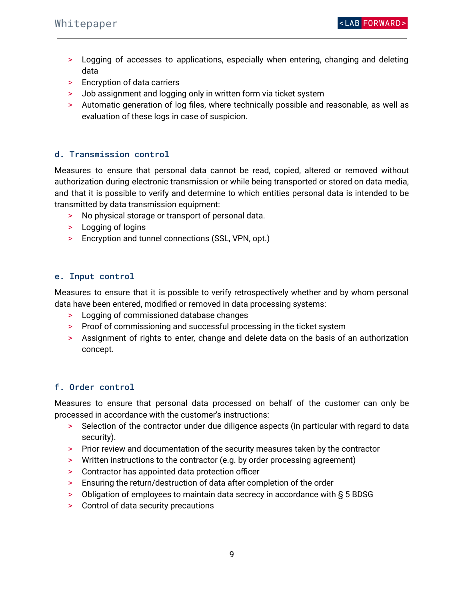- > Logging of accesses to applications, especially when entering, changing and deleting data
- > Encryption of data carriers
- > Job assignment and logging only in written form via ticket system
- > Automatic generation of log files, where technically possible and reasonable, as well as evaluation of these logs in case of suspicion.

### <span id="page-8-0"></span>d. Transmission control

Measures to ensure that personal data cannot be read, copied, altered or removed without authorization during electronic transmission or while being transported or stored on data media, and that it is possible to verify and determine to which entities personal data is intended to be transmitted by data transmission equipment:

- > No physical storage or transport of personal data.
- > Logging of logins
- > Encryption and tunnel connections (SSL, VPN, opt.)

#### <span id="page-8-1"></span>e. Input control

Measures to ensure that it is possible to verify retrospectively whether and by whom personal data have been entered, modified or removed in data processing systems:

- > Logging of commissioned database changes
- > Proof of commissioning and successful processing in the ticket system
- > Assignment of rights to enter, change and delete data on the basis of an authorization concept.

#### <span id="page-8-2"></span>f. Order control

Measures to ensure that personal data processed on behalf of the customer can only be processed in accordance with the customer's instructions:

- > Selection of the contractor under due diligence aspects (in particular with regard to data security).
- > Prior review and documentation of the security measures taken by the contractor
- > Written instructions to the contractor (e.g. by order processing agreement)
- > Contractor has appointed data protection officer
- > Ensuring the return/destruction of data after completion of the order
- > Obligation of employees to maintain data secrecy in accordance with § 5 BDSG
- > Control of data security precautions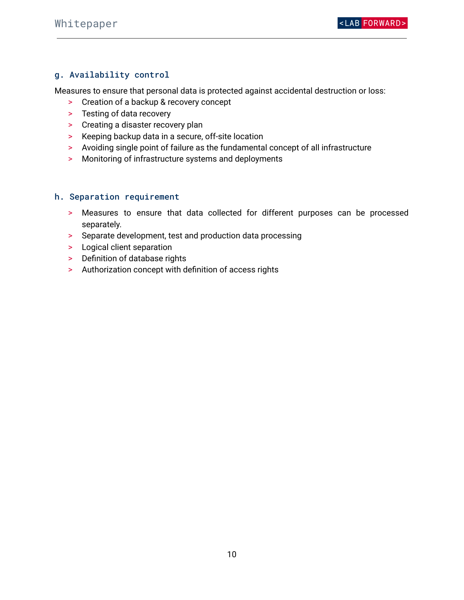### <span id="page-9-0"></span>g. Availability control

Measures to ensure that personal data is protected against accidental destruction or loss:

- > Creation of a backup & recovery concept
- > Testing of data recovery
- > Creating a disaster recovery plan
- > Keeping backup data in a secure, off-site location
- > Avoiding single point of failure as the fundamental concept of all infrastructure
- > Monitoring of infrastructure systems and deployments

#### <span id="page-9-1"></span>h. Separation requirement

- > Measures to ensure that data collected for different purposes can be processed separately.
- > Separate development, test and production data processing
- > Logical client separation
- > Definition of database rights
- > Authorization concept with definition of access rights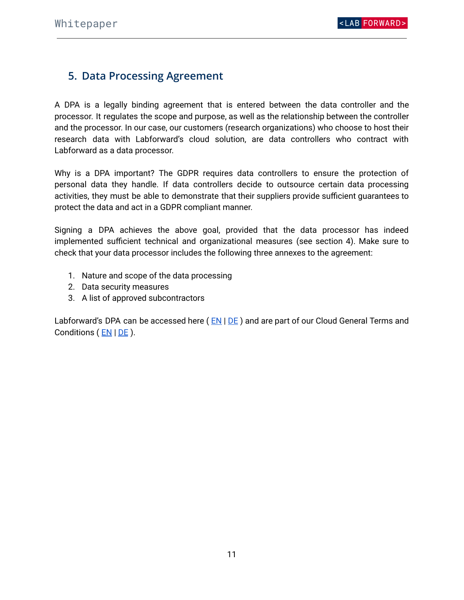## <span id="page-10-0"></span>**5. Data Processing Agreement**

A DPA is a legally binding agreement that is entered between the data controller and the processor. It regulates the scope and purpose, as well as the relationship between the controller and the processor. In our case, our customers (research organizations) who choose to host their research data with Labforward's cloud solution, are data controllers who contract with Labforward as a data processor.

Why is a DPA important? The GDPR requires data controllers to ensure the protection of personal data they handle. If data controllers decide to outsource certain data processing activities, they must be able to demonstrate that their suppliers provide sufficient guarantees to protect the data and act in a GDPR compliant manner.

Signing a DPA achieves the above goal, provided that the data processor has indeed implemented sufficient technical and organizational measures (see section 4). Make sure to check that your data processor includes the following three annexes to the agreement:

- 1. Nature and scope of the data processing
- 2. Data security measures
- 3. A list of approved subcontractors

Labforward's DPA can be accessed here  $(EN | DE)$  $(EN | DE)$  $(EN | DE)$  $(EN | DE)$  $(EN | DE)$  and are part of our Cloud General Terms and Conditions ( $EN | DE$  $EN | DE$  $EN | DE$ ).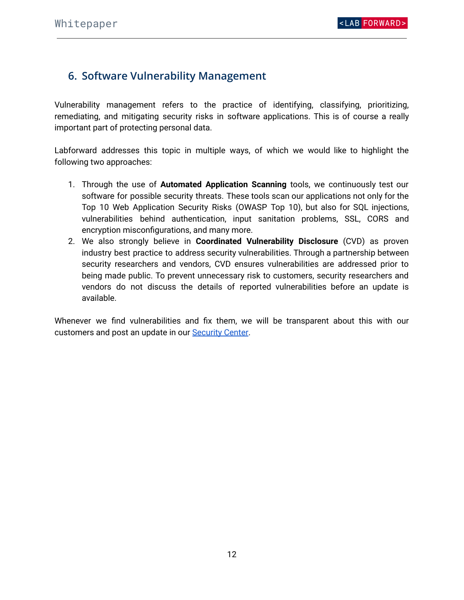### <span id="page-11-0"></span>**6. Software Vulnerability Management**

Vulnerability management refers to the practice of identifying, classifying, prioritizing, remediating, and mitigating security risks in software applications. This is of course a really important part of protecting personal data.

Labforward addresses this topic in multiple ways, of which we would like to highlight the following two approaches:

- 1. Through the use of **Automated Application Scanning** tools, we continuously test our software for possible security threats. These tools scan our applications not only for the Top 10 Web Application Security Risks (OWASP Top 10), but also for SQL injections, vulnerabilities behind authentication, input sanitation problems, SSL, CORS and encryption misconfigurations, and many more.
- 2. We also strongly believe in **Coordinated Vulnerability Disclosure** (CVD) as proven industry best practice to address security vulnerabilities. Through a partnership between security researchers and vendors, CVD ensures vulnerabilities are addressed prior to being made public. To prevent unnecessary risk to customers, security researchers and vendors do not discuss the details of reported vulnerabilities before an update is available.

Whenever we find vulnerabilities and fix them, we will be transparent about this with our customers and post an update in our [Security](https://www.labforward.io/security-center/) Center.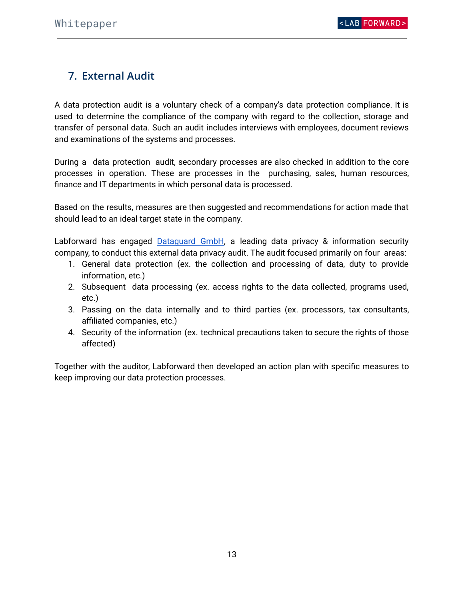# <span id="page-12-0"></span>**7. External Audit**

A data protection audit is a voluntary check of a company's data protection compliance. It is used to determine the compliance of the company with regard to the collection, storage and transfer of personal data. Such an audit includes interviews with employees, document reviews and examinations of the systems and processes.

During a data protection audit, secondary processes are also checked in addition to the core processes in operation. These are processes in the purchasing, sales, human resources, finance and IT departments in which personal data is processed.

Based on the results, measures are then suggested and recommendations for action made that should lead to an ideal target state in the company.

Labforward has engaged **[Dataguard](https://www.dataguard.com/) GmbH**, a leading data privacy & information security company, to conduct this external data privacy audit. The audit focused primarily on four areas:

- 1. General data protection (ex. the collection and processing of data, duty to provide information, etc.)
- 2. Subsequent data processing (ex. access rights to the data collected, programs used, etc.)
- 3. Passing on the data internally and to third parties (ex. processors, tax consultants, affiliated companies, etc.)
- 4. Security of the information (ex. technical precautions taken to secure the rights of those affected)

Together with the auditor, Labforward then developed an action plan with specific measures to keep improving our data protection processes.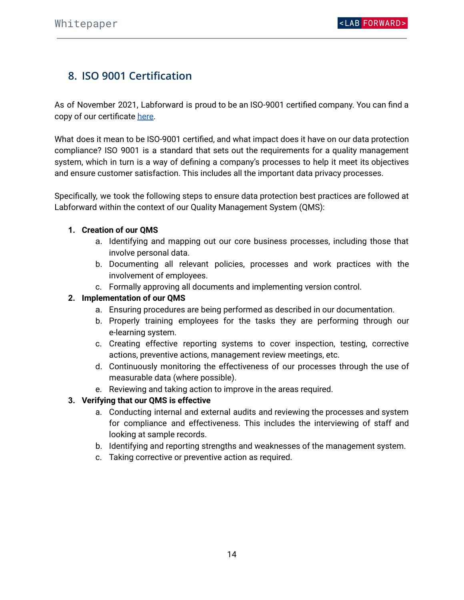# <span id="page-13-0"></span>**8. ISO 9001 Certification**

As of November 2021, Labforward is proud to be an ISO-9001 certified company. You can find a copy of our certificate [here.](https://www.labforward.io/wp-content/uploads/2022/02/2021-11-29-Labforward-ISO-9001-certificate.pdf)

What does it mean to be ISO-9001 certified, and what impact does it have on our data protection compliance? ISO 9001 is a standard that sets out the requirements for a quality management system, which in turn is a way of defining a company's processes to help it meet its objectives and ensure customer satisfaction. This includes all the important data privacy processes.

Specifically, we took the following steps to ensure data protection best practices are followed at Labforward within the context of our Quality Management System (QMS):

### **1. Creation of our QMS**

- a. Identifying and mapping out our core business processes, including those that involve personal data.
- b. Documenting all relevant policies, processes and work practices with the involvement of employees.
- c. Formally approving all documents and implementing version control.

### **2. Implementation of our QMS**

- a. Ensuring procedures are being performed as described in our documentation.
- b. Properly training employees for the tasks they are performing through our e-learning system.
- c. Creating effective reporting systems to cover inspection, testing, corrective actions, preventive actions, management review meetings, etc.
- d. Continuously monitoring the effectiveness of our processes through the use of measurable data (where possible).
- e. Reviewing and taking action to improve in the areas required.

### **3. Verifying that our QMS is effective**

- a. Conducting internal and external audits and reviewing the processes and system for compliance and effectiveness. This includes the interviewing of staff and looking at sample records.
- b. Identifying and reporting strengths and weaknesses of the management system.
- c. Taking corrective or preventive action as required.